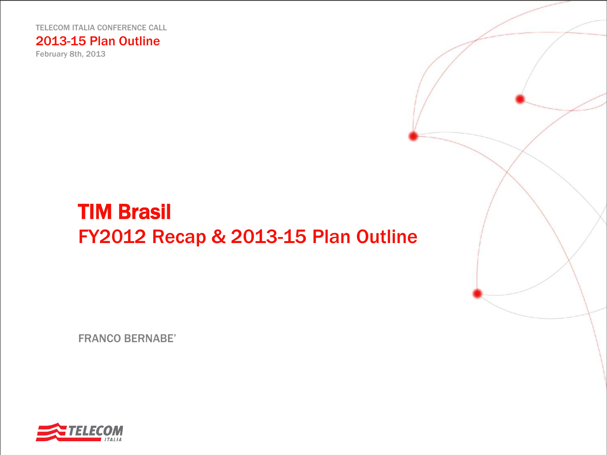TELECOM ITALIA CONFERENCE CALL

2013-15 Plan Outline

February 8th, 2013

# TIM Brasil FY2012 Recap & 2013-15 Plan Outline

FRANCO BERNABE'

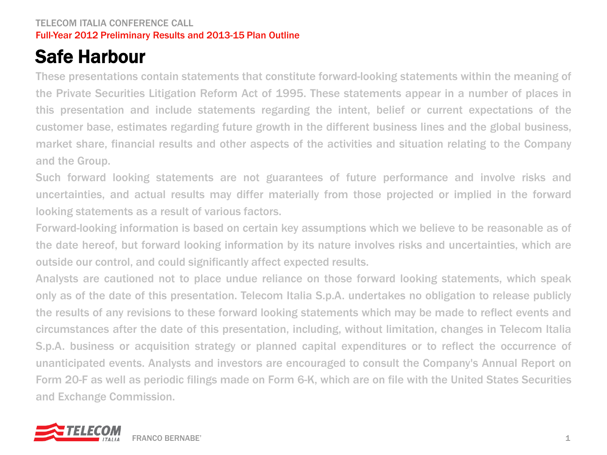# Safe Harbour

These presentations contain statements that constitute forward-looking statements within the meaning of the Private Securities Litigation Reform Act of 1995. These statements appear in a number of places in this presentation and include statements regarding the intent, belief or current expectations of the customer base, estimates regarding future growth in the different business lines and the global business, market share, financial results and other aspects of the activities and situation relating to the Company and the Group.

Such forward looking statements are not guarantees of future performance and involve risks and uncertainties, and actual results may differ materially from those projected or implied in the forward looking statements as a result of various factors.

Forward-looking information is based on certain key assumptions which we believe to be reasonable as of the date hereof, but forward looking information by its nature involves risks and uncertainties, which are outside our control, and could significantly affect expected results.

Analysts are cautioned not to place undue reliance on those forward looking statements, which speak only as of the date of this presentation. Telecom Italia S.p.A. undertakes no obligation to release publicly the results of any revisions to these forward looking statements which may be made to reflect events and circumstances after the date of this presentation, including, without limitation, changes in Telecom Italia S.p.A. business or acquisition strategy or planned capital expenditures or to reflect the occurrence of unanticipated events. Analysts and investors are encouraged to consult the Company's Annual Report on Form 20-F as well as periodic filings made on Form 6-K, which are on file with the United States Securities and Exchange Commission.

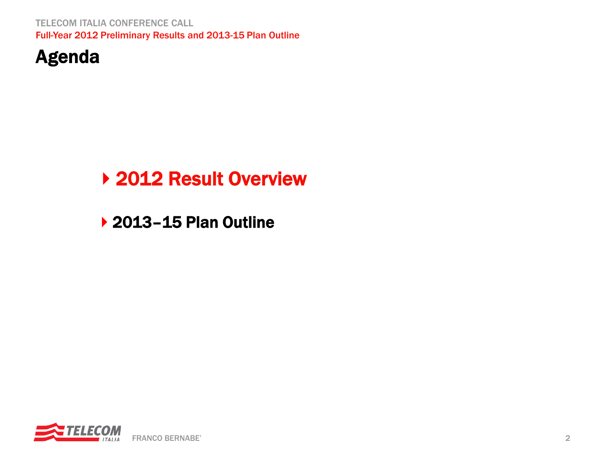TELECOM ITALIA CONFERENCE CALL Full-Year 2012 Preliminary Results and 2013-15 Plan Outline



# ▶ 2012 Result Overview

▶ 2013-15 Plan Outline

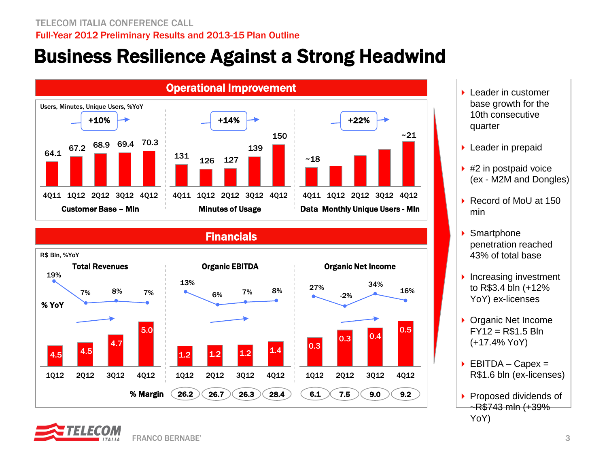# Business Resilience Against a Strong Headwind



### 27% -2% 34% 16% 26.2  $)($  26.7  $)($  26.3  $)($  28.4  $)$   $($  6.1  $)($  7.5  $)($  9.0  $)($  9.2 Organic EBITDA Organic Net Income **Financials** Total Revenues R\$ Bln, %YoY 4.5 4.5 4.7 5.0 1Q12 2Q12 3Q12 4Q12  $\begin{array}{|c|c|c|c|c|}\n\hline\n1.2 & 1.2 & 1.4\n\end{array}$ 1Q12 2Q12 3Q12 4Q12  $|0.3|$  $0.3$  0.4 0.5 1Q12 2Q12 3Q12 4Q12 % Margin 13% 6% 7% 8% 19% 7% 8% 7% % YoY



- ▶ Leader in prepaid
- $\blacktriangleright$  #2 in postpaid voice (ex - M2M and Dongles)
- ▶ Record of MoU at 150 min
- ▶ Smartphone penetration reached 43% of total base
- $\blacktriangleright$  Increasing investment to R\$3.4 bln (+12% YoY) ex-licenses
- ▶ Organic Net Income  $FY12 = R$1.5 Bln$ (+17.4% YoY)
- $\triangleright$  EBITDA Capex = R\$1.6 bln (ex-licenses)
- Proposed dividends of ~R\$743 mln (+39% YoY)

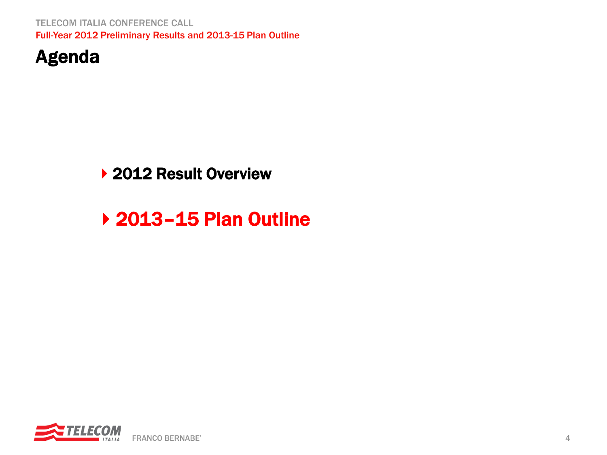TELECOM ITALIA CONFERENCE CALL Full-Year 2012 Preliminary Results and 2013-15 Plan Outline



## ▶ 2012 Result Overview

# ▶ 2013-15 Plan Outline

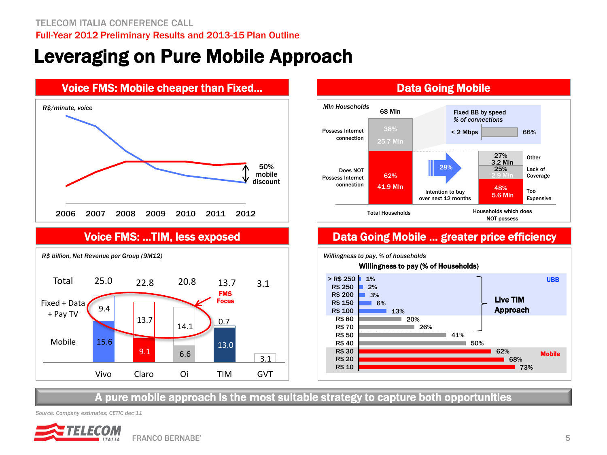# Leveraging on Pure Mobile Approach







## Voice FMS: ...TIM, less exposed **Data Going Mobile ... greater price efficiency**



A pure mobile approach is the most suitable strategy to capture both opportunities

*Source: Company estimates; CETIC dec'11* 

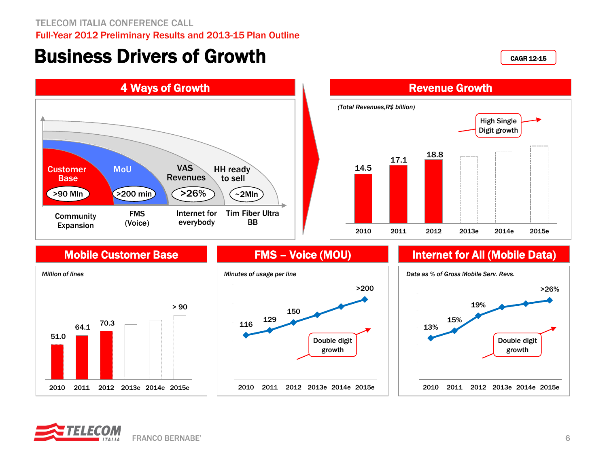TELECOM ITALIA CONFERENCE CALL Full-Year 2012 Preliminary Results and 2013-15 Plan Outline

## Business Drivers of Growth

CAGR 12-15





## Mobile Customer Base







## FMS – Voice (MOU) **Internet for All (Mobile Data)**



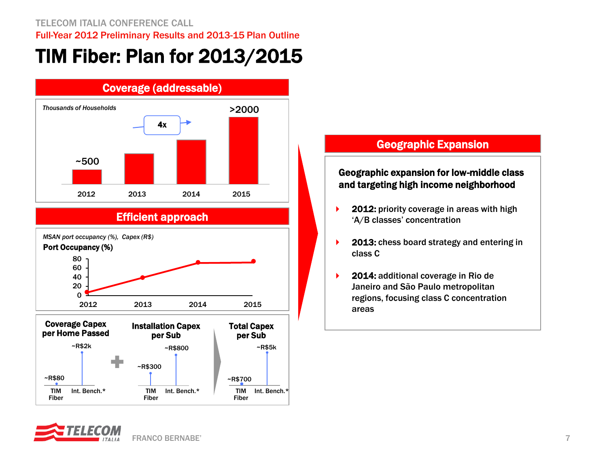# TIM Fiber: Plan for 2013/2015



## Efficient approach





Janeiro and São Paulo metropolitan regions, focusing class C concentration areas

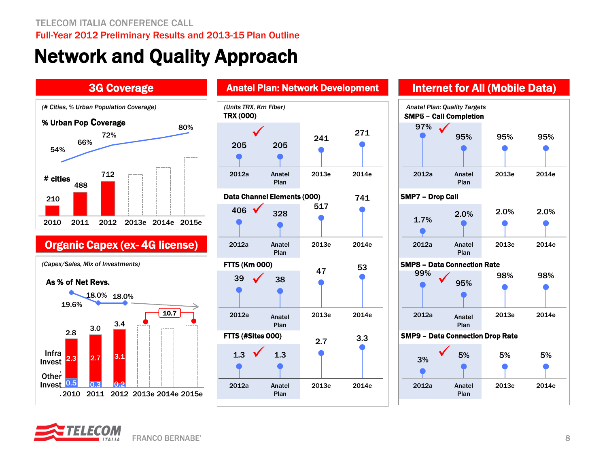# Network and Quality Approach

### 3G Coverage



## Organic Capex (ex- 4G license)

*(Capex/Sales, Mix of Investments)*

### As % of Net Revs.





## Anatel Plan: Network Development **Internet for All (Mobile Data)**